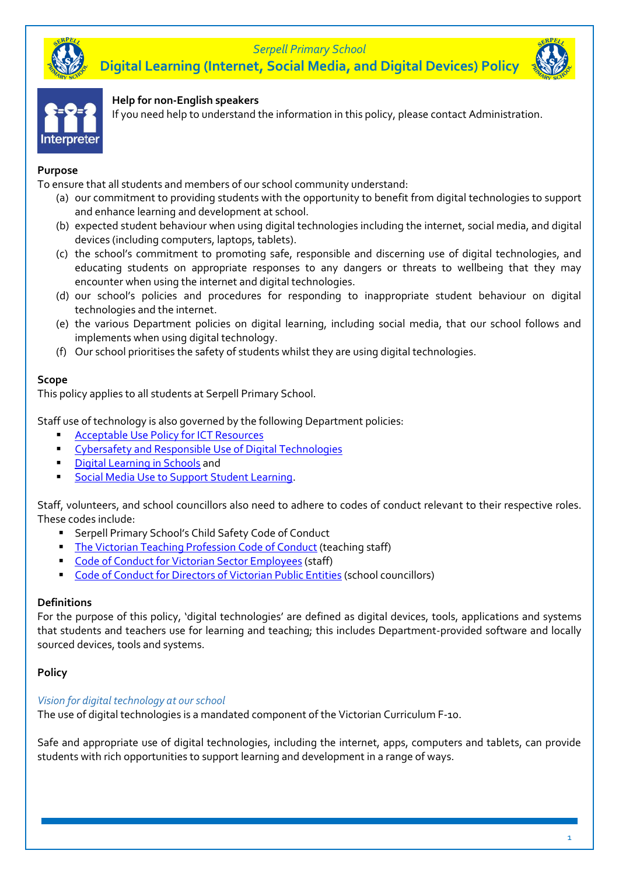# *Serpell Primary School* **Digital Learning (Internet, Social Media, and Digital Devices) Policy**





### **Help for non-English speakers**

If you need help to understand the information in this policy, please contact Administration.

### **Purpose**

To ensure that all students and members of our school community understand:

- (a) our commitment to providing students with the opportunity to benefit from digital technologies to support and enhance learning and development at school.
- (b) expected student behaviour when using digital technologies including the internet, social media, and digital devices (including computers, laptops, tablets).
- (c) the school's commitment to promoting safe, responsible and discerning use of digital technologies, and educating students on appropriate responses to any dangers or threats to wellbeing that they may encounter when using the internet and digital technologies.
- (d) our school's policies and procedures for responding to inappropriate student behaviour on digital technologies and the internet.
- (e) the various Department policies on digital learning, including social media, that our school follows and implements when using digital technology.
- (f) Our school prioritises the safety of students whilst they are using digital technologies.

### **Scope**

This policy applies to all students at Serpell Primary School.

Staff use of technology is also governed by the following Department policies:

- **[Acceptable Use Policy](https://www2.education.vic.gov.au/pal/ict-acceptable-use/overview) for ICT Resources**
- [Cybersafety and Responsible Use of Digital Technologies](https://www2.education.vic.gov.au/pal/cybersafety/policy)
- **E.** [Digital Learning in Schools](https://www2.education.vic.gov.au/pal/digital-learning/policy) and
- [Social Media Use to Support Student Learning.](https://www2.education.vic.gov.au/pal/social-media/policy)

Staff, volunteers, and school councillors also need to adhere to codes of conduct relevant to their respective roles. These codes include:

- Serpell Primary School's Child Safety Code of Conduct
- **[The Victorian Teaching Profession Code of Conduct](https://www.vit.vic.edu.au/__data/assets/pdf_file/0018/35604/Code-of-Conduct-2016.pdf) (teaching staff)**
- [Code of Conduct for Victorian Sector Employees](https://www2.education.vic.gov.au/pal/code-conduct/overview) (staff)
- [Code of Conduct for Directors of Victorian Public Entities](https://www2.education.vic.gov.au/pal/school-council-conduct/policy) (school councillors)

#### **Definitions**

For the purpose of this policy, 'digital technologies' are defined as digital devices, tools, applications and systems that students and teachers use for learning and teaching; this includes Department-provided software and locally sourced devices, tools and systems.

## **Policy**

#### *Vision for digital technology at ourschool*

The use of digital technologies is a mandated component of the Victorian Curriculum F-10.

Safe and appropriate use of digital technologies, including the internet, apps, computers and tablets, can provide students with rich opportunities to support learning and development in a range of ways.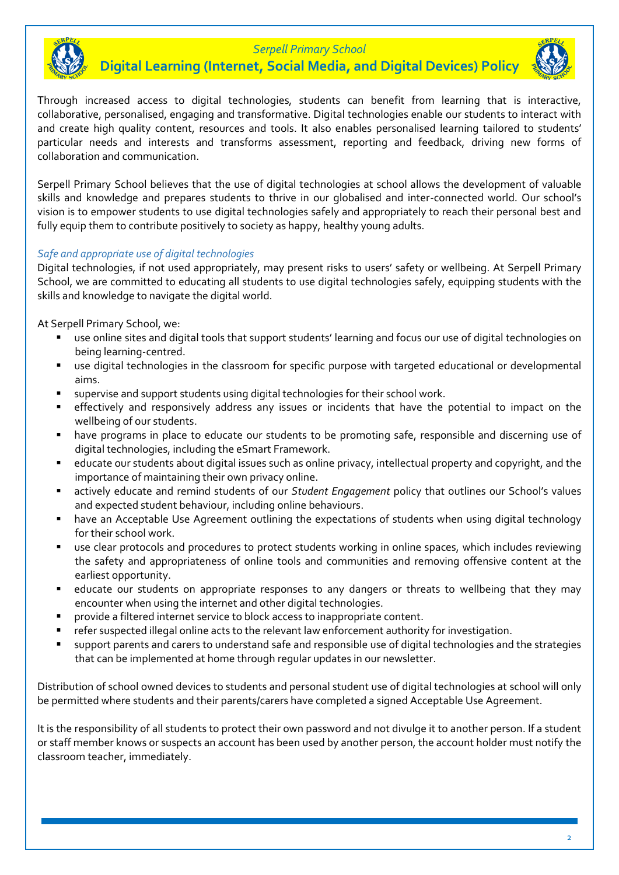

# *Serpell Primary School* **Digital Learning (Internet, Social Media, and Digital Devices) Policy**



Through increased access to digital technologies, students can benefit from learning that is interactive, collaborative, personalised, engaging and transformative. Digital technologies enable our students to interact with and create high quality content, resources and tools. It also enables personalised learning tailored to students' particular needs and interests and transforms assessment, reporting and feedback, driving new forms of collaboration and communication.

Serpell Primary School believes that the use of digital technologies at school allows the development of valuable skills and knowledge and prepares students to thrive in our globalised and inter-connected world. Our school's vision is to empower students to use digital technologies safely and appropriately to reach their personal best and fully equip them to contribute positively to society as happy, healthy young adults.

# *Safe and appropriate use of digital technologies*

Digital technologies, if not used appropriately, may present risks to users' safety or wellbeing. At Serpell Primary School, we are committed to educating all students to use digital technologies safely, equipping students with the skills and knowledge to navigate the digital world.

At Serpell Primary School, we:

- use online sites and digital tools that support students' learning and focus our use of digital technologies on being learning-centred.
- use digital technologies in the classroom for specific purpose with targeted educational or developmental aims.
- supervise and support students using digital technologies for their school work.
- effectively and responsively address any issues or incidents that have the potential to impact on the wellbeing of our students.
- have programs in place to educate our students to be promoting safe, responsible and discerning use of digital technologies, including the eSmart Framework.
- educate our students about digital issues such as online privacy, intellectual property and copyright, and the importance of maintaining their own privacy online.
- actively educate and remind students of our *Student Engagement* policy that outlines our School's values and expected student behaviour, including online behaviours.
- have an Acceptable Use Agreement outlining the expectations of students when using digital technology for their school work.
- use clear protocols and procedures to protect students working in online spaces, which includes reviewing the safety and appropriateness of online tools and communities and removing offensive content at the earliest opportunity.
- educate our students on appropriate responses to any dangers or threats to wellbeing that they may encounter when using the internet and other digital technologies.
- provide a filtered internet service to block access to inappropriate content.
- refer suspected illegal online acts to the relevant law enforcement authority for investigation.
- support parents and carers to understand safe and responsible use of digital technologies and the strategies that can be implemented at home through regular updates in our newsletter.

Distribution of school owned devices to students and personal student use of digital technologies at school will only be permitted where students and their parents/carers have completed a signed Acceptable Use Agreement.

It is the responsibility of all students to protect their own password and not divulge it to another person. If a student or staff member knows or suspects an account has been used by another person, the account holder must notify the classroom teacher, immediately.